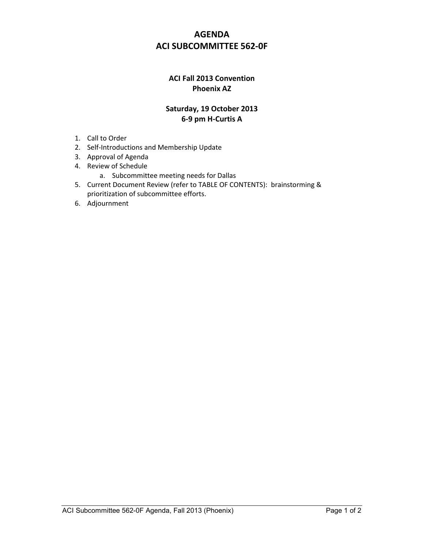## **AGENDA ACI SUBCOMMITTEE 562-0F**

## **ACI Fall 2013 Convention Phoenix AZ**

## **Saturday, 19 October 2013 6-9 pm H-Curtis A**

- 1. Call to Order
- 2. Self-Introductions and Membership Update
- 3. Approval of Agenda
- 4. Review of Schedule
	- a. Subcommittee meeting needs for Dallas
- 5. Current Document Review (refer to TABLE OF CONTENTS): brainstorming & prioritization of subcommittee efforts.
- 6. Adjournment